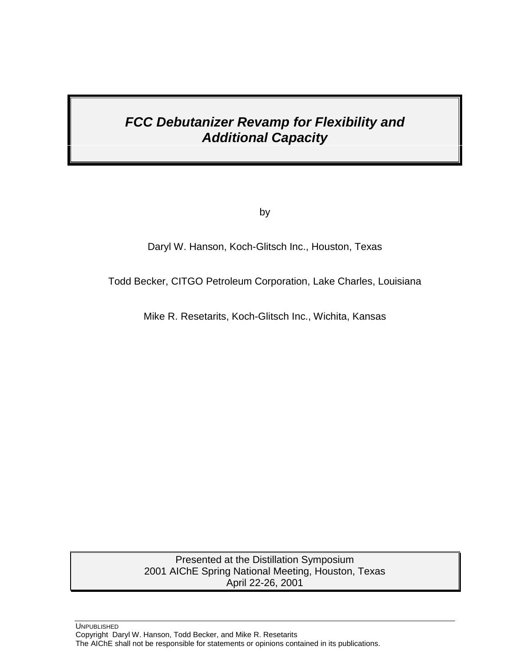# *FCC Debutanizer Revamp for Flexibility and Additional Capacity*

by

Daryl W. Hanson, Koch-Glitsch Inc., Houston, Texas

Todd Becker, CITGO Petroleum Corporation, Lake Charles, Louisiana

Mike R. Resetarits, Koch-Glitsch Inc., Wichita, Kansas

Presented at the Distillation Symposium 2001 AIChE Spring National Meeting, Houston, Texas April 22-26, 2001

UNPUBLISHED Copyright Daryl W. Hanson, Todd Becker, and Mike R. Resetarits The AIChE shall not be responsible for statements or opinions contained in its publications.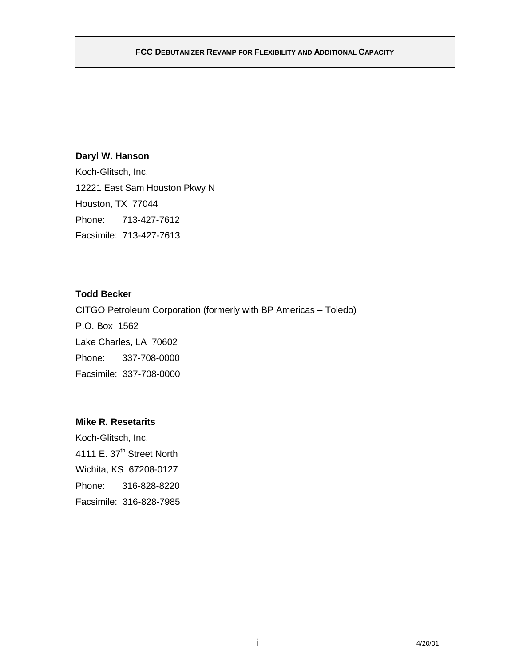# **Daryl W. Hanson**

Koch-Glitsch, Inc. 12221 East Sam Houston Pkwy N Houston, TX 77044 Phone: 713-427-7612 Facsimile: 713-427-7613

# **Todd Becker**

CITGO Petroleum Corporation (formerly with BP Americas – Toledo) P.O. Box 1562 Lake Charles, LA 70602 Phone: 337-708-0000 Facsimile: 337-708-0000

# **Mike R. Resetarits**

Koch-Glitsch, Inc. 4111 E. 37<sup>th</sup> Street North Wichita, KS 67208-0127 Phone: 316-828-8220 Facsimile: 316-828-7985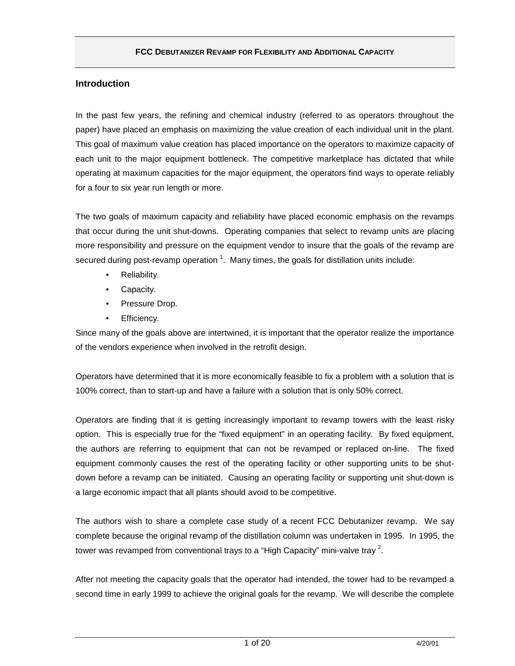# **Introduction**

In the past few years, the refining and chemical industry (referred to as operators throughout the paper) have placed an emphasis on maximizing the value creation of each individual unit in the plant. This goal of maximum value creation has placed importance on the operators to maximize capacity of each unit to the major equipment bottleneck. The competitive marketplace has dictated that while operating at maximum capacities for the major equipment, the operators find ways to operate reliably for a four to six year run length or more.

The two goals of maximum capacity and reliability have placed economic emphasis on the revamps that occur during the unit shut-downs. Operating companies that select to revamp units are placing more responsibility and pressure on the equipment vendor to insure that the goals of the revamp are secured during post-revamp operation  $^1$ . Many times, the goals for distillation units include:

- Reliability.
- Capacity.
- Pressure Drop.
- Efficiency.

Since many of the goals above are intertwined, it is important that the operator realize the importance of the vendors experience when involved in the retrofit design.

Operators have determined that it is more economically feasible to fix a problem with a solution that is 100% correct, than to start-up and have a failure with a solution that is only 50% correct.

Operators are finding that it is getting increasingly important to revamp towers with the least risky option. This is especially true for the "fixed equipment" in an operating facility. By fixed equipment, the authors are referring to equipment that can not be revamped or replaced on-line. The fixed equipment commonly causes the rest of the operating facility or other supporting units to be shutdown before a revamp can be initiated. Causing an operating facility or supporting unit shut-down is a large economic impact that all plants should avoid to be competitive.

The authors wish to share a complete case study of a recent FCC Debutanizer revamp. We say complete because the original revamp of the distillation column was undertaken in 1995. In 1995, the tower was revamped from conventional trays to a "High Capacity" mini-valve tray  $^2\!$ .

After not meeting the capacity goals that the operator had intended, the tower had to be revamped a second time in early 1999 to achieve the original goals for the revamp. We will describe the complete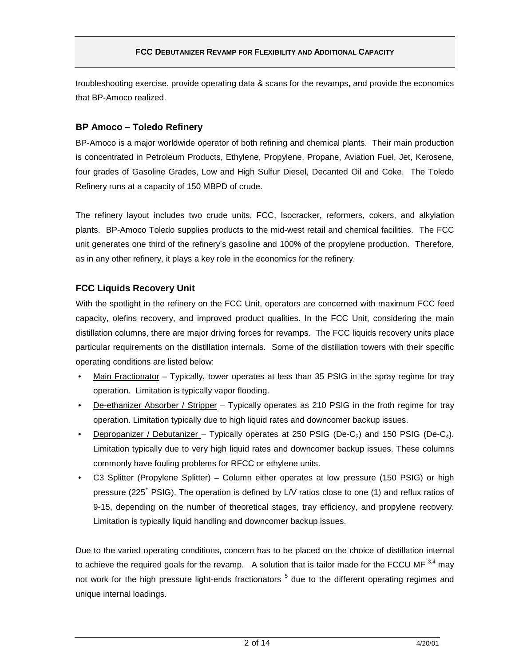troubleshooting exercise, provide operating data & scans for the revamps, and provide the economics that BP-Amoco realized.

### **BP Amoco – Toledo Refinery**

BP-Amoco is a major worldwide operator of both refining and chemical plants. Their main production is concentrated in Petroleum Products, Ethylene, Propylene, Propane, Aviation Fuel, Jet, Kerosene, four grades of Gasoline Grades, Low and High Sulfur Diesel, Decanted Oil and Coke. The Toledo Refinery runs at a capacity of 150 MBPD of crude.

The refinery layout includes two crude units, FCC, Isocracker, reformers, cokers, and alkylation plants. BP-Amoco Toledo supplies products to the mid-west retail and chemical facilities. The FCC unit generates one third of the refinery's gasoline and 100% of the propylene production. Therefore, as in any other refinery, it plays a key role in the economics for the refinery.

# **FCC Liquids Recovery Unit**

With the spotlight in the refinery on the FCC Unit, operators are concerned with maximum FCC feed capacity, olefins recovery, and improved product qualities. In the FCC Unit, considering the main distillation columns, there are major driving forces for revamps. The FCC liquids recovery units place particular requirements on the distillation internals. Some of the distillation towers with their specific operating conditions are listed below:

- Main Fractionator Typically, tower operates at less than 35 PSIG in the spray regime for tray operation. Limitation is typically vapor flooding.
- De-ethanizer Absorber / Stripper Typically operates as 210 PSIG in the froth regime for tray operation. Limitation typically due to high liquid rates and downcomer backup issues.
- Depropanizer / Debutanizer Typically operates at 250 PSIG (De-C<sub>3</sub>) and 150 PSIG (De-C<sub>4</sub>). Limitation typically due to very high liquid rates and downcomer backup issues. These columns commonly have fouling problems for RFCC or ethylene units.
- C3 Splitter (Propylene Splitter) Column either operates at low pressure (150 PSIG) or high pressure (225<sup>+</sup> PSIG). The operation is defined by L/V ratios close to one (1) and reflux ratios of 9-15, depending on the number of theoretical stages, tray efficiency, and propylene recovery. Limitation is typically liquid handling and downcomer backup issues.

Due to the varied operating conditions, concern has to be placed on the choice of distillation internal to achieve the required goals for the revamp. A solution that is tailor made for the FCCU MF  $^{3,4}$  may not work for the high pressure light-ends fractionators <sup>5</sup> due to the different operating regimes and unique internal loadings.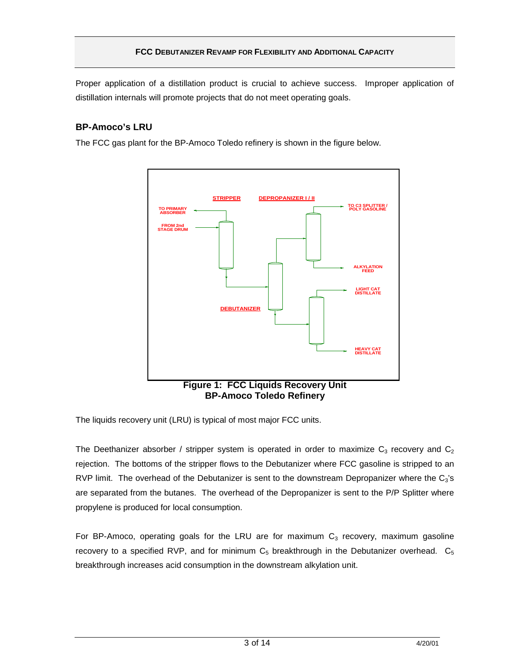Proper application of a distillation product is crucial to achieve success. Improper application of distillation internals will promote projects that do not meet operating goals.

# **BP-Amoco's LRU**

The FCC gas plant for the BP-Amoco Toledo refinery is shown in the figure below.



The liquids recovery unit (LRU) is typical of most major FCC units.

The Deethanizer absorber / stripper system is operated in order to maximize  $C_3$  recovery and  $C_2$ rejection. The bottoms of the stripper flows to the Debutanizer where FCC gasoline is stripped to an RVP limit. The overhead of the Debutanizer is sent to the downstream Depropanizer where the  $C_3$ 's are separated from the butanes. The overhead of the Depropanizer is sent to the P/P Splitter where propylene is produced for local consumption.

For BP-Amoco, operating goals for the LRU are for maximum  $C_3$  recovery, maximum gasoline recovery to a specified RVP, and for minimum  $C_5$  breakthrough in the Debutanizer overhead.  $C_5$ breakthrough increases acid consumption in the downstream alkylation unit.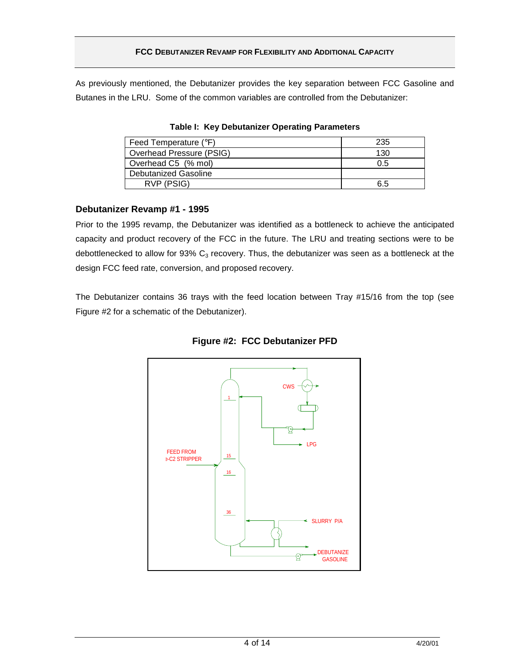As previously mentioned, the Debutanizer provides the key separation between FCC Gasoline and Butanes in the LRU. Some of the common variables are controlled from the Debutanizer:

| Feed Temperature (°F)    | 235 |
|--------------------------|-----|
| Overhead Pressure (PSIG) | 130 |
| Overhead C5 (% mol)      | 0.5 |
| Debutanized Gasoline     |     |
| RVP (PSIG)               | 6.5 |

**Table I: Key Debutanizer Operating Parameters**

# **Debutanizer Revamp #1 - 1995**

Prior to the 1995 revamp, the Debutanizer was identified as a bottleneck to achieve the anticipated capacity and product recovery of the FCC in the future. The LRU and treating sections were to be debottlenecked to allow for 93%  $C_3$  recovery. Thus, the debutanizer was seen as a bottleneck at the design FCC feed rate, conversion, and proposed recovery.

The Debutanizer contains 36 trays with the feed location between Tray #15/16 from the top (see Figure #2 for a schematic of the Debutanizer).



**Figure #2: FCC Debutanizer PFD**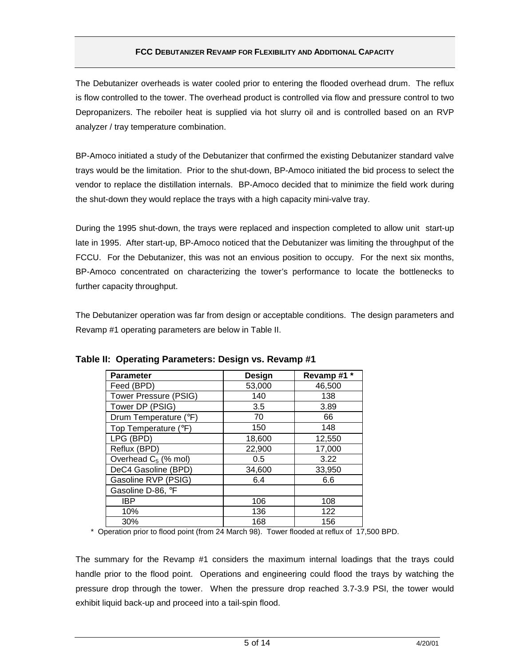The Debutanizer overheads is water cooled prior to entering the flooded overhead drum. The reflux is flow controlled to the tower. The overhead product is controlled via flow and pressure control to two Depropanizers. The reboiler heat is supplied via hot slurry oil and is controlled based on an RVP analyzer / tray temperature combination.

BP-Amoco initiated a study of the Debutanizer that confirmed the existing Debutanizer standard valve trays would be the limitation. Prior to the shut-down, BP-Amoco initiated the bid process to select the vendor to replace the distillation internals. BP-Amoco decided that to minimize the field work during the shut-down they would replace the trays with a high capacity mini-valve tray.

During the 1995 shut-down, the trays were replaced and inspection completed to allow unit start-up late in 1995. After start-up, BP-Amoco noticed that the Debutanizer was limiting the throughput of the FCCU. For the Debutanizer, this was not an envious position to occupy. For the next six months, BP-Amoco concentrated on characterizing the tower's performance to locate the bottlenecks to further capacity throughput.

The Debutanizer operation was far from design or acceptable conditions. The design parameters and Revamp #1 operating parameters are below in Table II.

| <b>Parameter</b>       | Design | Revamp#1 |
|------------------------|--------|----------|
| Feed (BPD)             | 53,000 | 46,500   |
| Tower Pressure (PSIG)  | 140    | 138      |
| Tower DP (PSIG)        | 3.5    | 3.89     |
| Drum Temperature (°F)  | 70     | 66       |
| Top Temperature (°F)   | 150    | 148      |
| LPG (BPD)              | 18,600 | 12,550   |
| Reflux (BPD)           | 22,900 | 17,000   |
| Overhead $C_5$ (% mol) | 0.5    | 3.22     |
| DeC4 Gasoline (BPD)    | 34,600 | 33,950   |
| Gasoline RVP (PSIG)    | 6.4    | 6.6      |
| Gasoline D-86, °F      |        |          |
| IBP                    | 106    | 108      |
| 10%                    | 136    | 122      |
| 30%                    | 168    | 156      |

### **Table II: Operating Parameters: Design vs. Revamp #1**

\* Operation prior to flood point (from 24 March 98). Tower flooded at reflux of 17,500 BPD.

The summary for the Revamp #1 considers the maximum internal loadings that the trays could handle prior to the flood point. Operations and engineering could flood the trays by watching the pressure drop through the tower. When the pressure drop reached 3.7-3.9 PSI, the tower would exhibit liquid back-up and proceed into a tail-spin flood.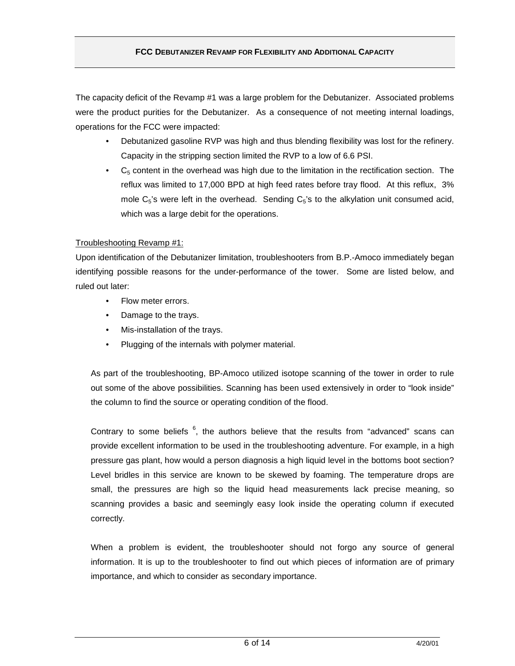The capacity deficit of the Revamp #1 was a large problem for the Debutanizer. Associated problems were the product purities for the Debutanizer. As a consequence of not meeting internal loadings, operations for the FCC were impacted:

- Debutanized gasoline RVP was high and thus blending flexibility was lost for the refinery. Capacity in the stripping section limited the RVP to a low of 6.6 PSI.
- $\bullet$   $\mathsf{C}_5$  content in the overhead was high due to the limitation in the rectification section. The reflux was limited to 17,000 BPD at high feed rates before tray flood. At this reflux, 3% mole  $C_5$ 's were left in the overhead. Sending  $C_5$ 's to the alkylation unit consumed acid, which was a large debit for the operations.

#### Troubleshooting Revamp #1:

Upon identification of the Debutanizer limitation, troubleshooters from B.P.-Amoco immediately began identifying possible reasons for the under-performance of the tower. Some are listed below, and ruled out later:

- Flow meter errors.
- Damage to the trays.
- Mis-installation of the trays.
- Plugging of the internals with polymer material.

As part of the troubleshooting, BP-Amoco utilized isotope scanning of the tower in order to rule out some of the above possibilities. Scanning has been used extensively in order to "look inside" the column to find the source or operating condition of the flood.

Contrary to some beliefs  $6$ , the authors believe that the results from "advanced" scans can provide excellent information to be used in the troubleshooting adventure. For example, in a high pressure gas plant, how would a person diagnosis a high liquid level in the bottoms boot section? Level bridles in this service are known to be skewed by foaming. The temperature drops are small, the pressures are high so the liquid head measurements lack precise meaning, so scanning provides a basic and seemingly easy look inside the operating column if executed correctly.

When a problem is evident, the troubleshooter should not forgo any source of general information. It is up to the troubleshooter to find out which pieces of information are of primary importance, and which to consider as secondary importance.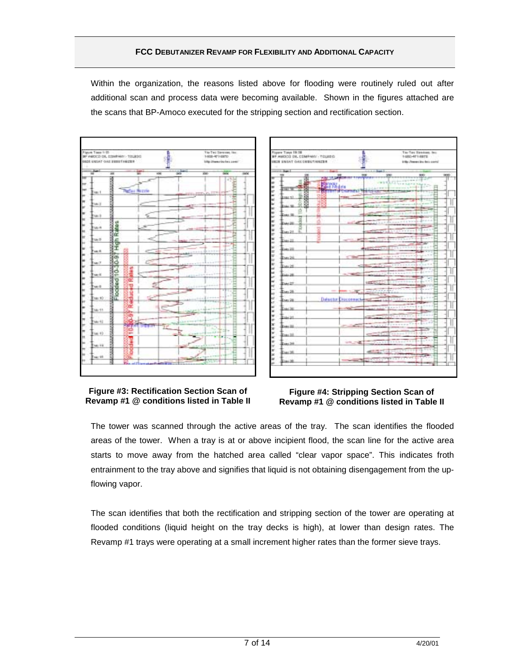Within the organization, the reasons listed above for flooding were routinely ruled out after additional scan and process data were becoming available. Shown in the figures attached are the scans that BP-Amoco executed for the stripping section and rectification section.





#### **Figure #3: Rectification Section Scan of Revamp #1 @ conditions listed in Table II**

#### **Figure #4: Stripping Section Scan of Revamp #1 @ conditions listed in Table II**

The tower was scanned through the active areas of the tray. The scan identifies the flooded areas of the tower. When a tray is at or above incipient flood, the scan line for the active area starts to move away from the hatched area called "clear vapor space". This indicates froth entrainment to the tray above and signifies that liquid is not obtaining disengagement from the upflowing vapor.

The scan identifies that both the rectification and stripping section of the tower are operating at flooded conditions (liquid height on the tray decks is high), at lower than design rates. The Revamp #1 trays were operating at a small increment higher rates than the former sieve trays.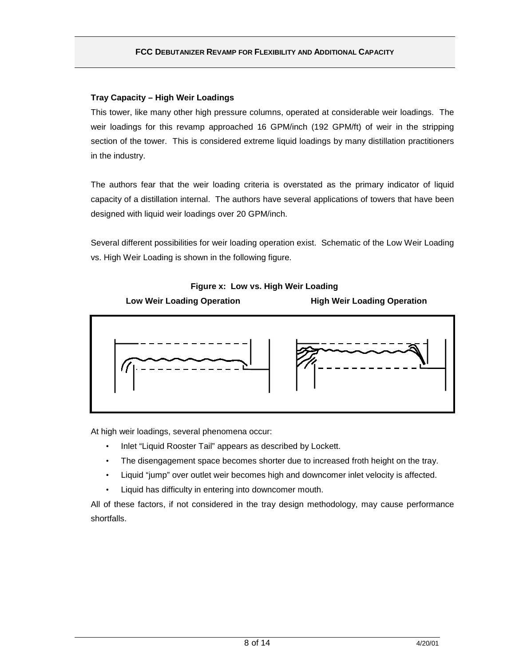### **Tray Capacity – High Weir Loadings**

This tower, like many other high pressure columns, operated at considerable weir loadings. The weir loadings for this revamp approached 16 GPM/inch (192 GPM/ft) of weir in the stripping section of the tower. This is considered extreme liquid loadings by many distillation practitioners in the industry.

The authors fear that the weir loading criteria is overstated as the primary indicator of liquid capacity of a distillation internal. The authors have several applications of towers that have been designed with liquid weir loadings over 20 GPM/inch.

Several different possibilities for weir loading operation exist. Schematic of the Low Weir Loading vs. High Weir Loading is shown in the following figure.

**Figure x: Low vs. High Weir Loading**



At high weir loadings, several phenomena occur:

- Inlet "Liquid Rooster Tail" appears as described by Lockett.
- The disengagement space becomes shorter due to increased froth height on the tray.
- Liquid "jump" over outlet weir becomes high and downcomer inlet velocity is affected.
- Liquid has difficulty in entering into downcomer mouth.

All of these factors, if not considered in the tray design methodology, may cause performance shortfalls.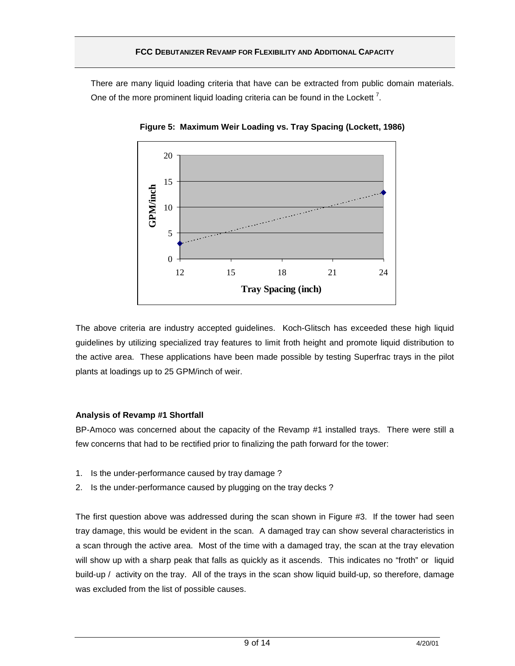There are many liquid loading criteria that have can be extracted from public domain materials. One of the more prominent liquid loading criteria can be found in the Lockett<sup>7</sup>.



**Figure 5: Maximum Weir Loading vs. Tray Spacing (Lockett, 1986)**

The above criteria are industry accepted guidelines. Koch-Glitsch has exceeded these high liquid guidelines by utilizing specialized tray features to limit froth height and promote liquid distribution to the active area. These applications have been made possible by testing Superfrac trays in the pilot plants at loadings up to 25 GPM/inch of weir.

#### **Analysis of Revamp #1 Shortfall**

BP-Amoco was concerned about the capacity of the Revamp #1 installed trays. There were still a few concerns that had to be rectified prior to finalizing the path forward for the tower:

- 1. Is the under-performance caused by tray damage ?
- 2. Is the under-performance caused by plugging on the tray decks ?

The first question above was addressed during the scan shown in Figure #3. If the tower had seen tray damage, this would be evident in the scan. A damaged tray can show several characteristics in a scan through the active area. Most of the time with a damaged tray, the scan at the tray elevation will show up with a sharp peak that falls as quickly as it ascends. This indicates no "froth" or liquid build-up / activity on the tray. All of the trays in the scan show liquid build-up, so therefore, damage was excluded from the list of possible causes.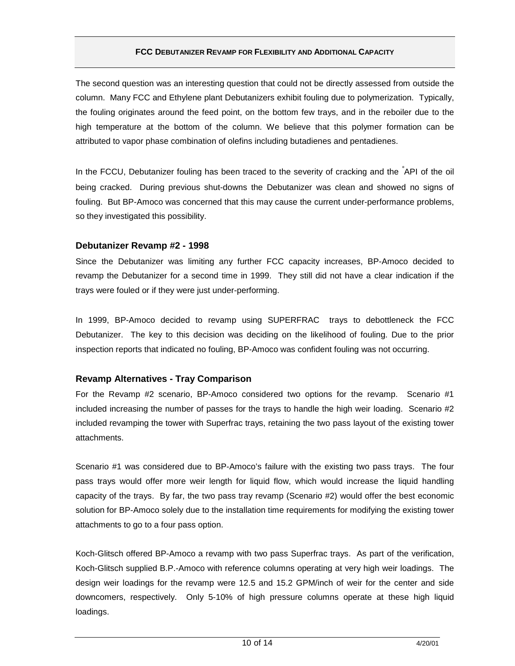The second question was an interesting question that could not be directly assessed from outside the column. Many FCC and Ethylene plant Debutanizers exhibit fouling due to polymerization. Typically, the fouling originates around the feed point, on the bottom few trays, and in the reboiler due to the high temperature at the bottom of the column. We believe that this polymer formation can be attributed to vapor phase combination of olefins including butadienes and pentadienes.

In the FCCU, Debutanizer fouling has been traced to the severity of cracking and the <sup>°</sup>API of the oil being cracked. During previous shut-downs the Debutanizer was clean and showed no signs of fouling. But BP-Amoco was concerned that this may cause the current under-performance problems, so they investigated this possibility.

#### **Debutanizer Revamp #2 - 1998**

Since the Debutanizer was limiting any further FCC capacity increases, BP-Amoco decided to revamp the Debutanizer for a second time in 1999. They still did not have a clear indication if the trays were fouled or if they were just under-performing.

In 1999, BP-Amoco decided to revamp using SUPERFRAC<sup>®</sup> trays to debottleneck the FCC Debutanizer. The key to this decision was deciding on the likelihood of fouling. Due to the prior inspection reports that indicated no fouling, BP-Amoco was confident fouling was not occurring.

### **Revamp Alternatives - Tray Comparison**

For the Revamp #2 scenario, BP-Amoco considered two options for the revamp. Scenario #1 included increasing the number of passes for the trays to handle the high weir loading. Scenario #2 included revamping the tower with Superfrac trays, retaining the two pass layout of the existing tower attachments.

Scenario #1 was considered due to BP-Amoco's failure with the existing two pass trays. The four pass trays would offer more weir length for liquid flow, which would increase the liquid handling capacity of the trays. By far, the two pass tray revamp (Scenario #2) would offer the best economic solution for BP-Amoco solely due to the installation time requirements for modifying the existing tower attachments to go to a four pass option.

Koch-Glitsch offered BP-Amoco a revamp with two pass Superfrac trays. As part of the verification, Koch-Glitsch supplied B.P.-Amoco with reference columns operating at very high weir loadings. The design weir loadings for the revamp were 12.5 and 15.2 GPM/inch of weir for the center and side downcomers, respectively. Only 5-10% of high pressure columns operate at these high liquid loadings.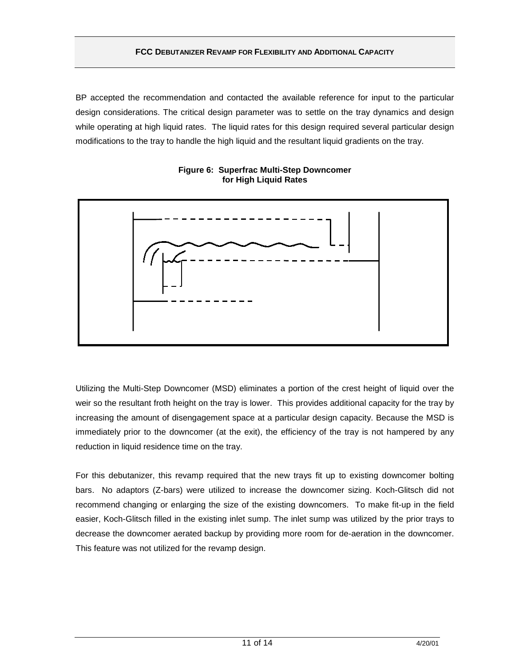BP accepted the recommendation and contacted the available reference for input to the particular design considerations. The critical design parameter was to settle on the tray dynamics and design while operating at high liquid rates. The liquid rates for this design required several particular design modifications to the tray to handle the high liquid and the resultant liquid gradients on the tray.





Utilizing the Multi-Step Downcomer (MSD) eliminates a portion of the crest height of liquid over the weir so the resultant froth height on the tray is lower. This provides additional capacity for the tray by increasing the amount of disengagement space at a particular design capacity. Because the MSD is immediately prior to the downcomer (at the exit), the efficiency of the tray is not hampered by any reduction in liquid residence time on the tray.

For this debutanizer, this revamp required that the new trays fit up to existing downcomer bolting bars. No adaptors (Z-bars) were utilized to increase the downcomer sizing. Koch-Glitsch did not recommend changing or enlarging the size of the existing downcomers. To make fit-up in the field easier, Koch-Glitsch filled in the existing inlet sump. The inlet sump was utilized by the prior trays to decrease the downcomer aerated backup by providing more room for de-aeration in the downcomer. This feature was not utilized for the revamp design.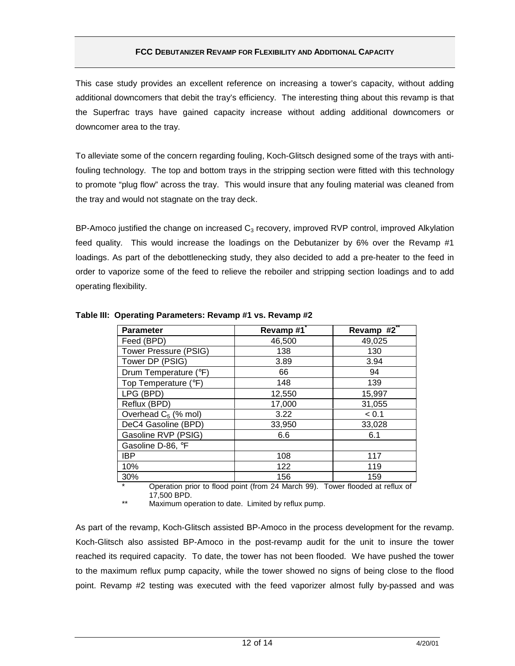This case study provides an excellent reference on increasing a tower's capacity, without adding additional downcomers that debit the tray's efficiency. The interesting thing about this revamp is that the Superfrac trays have gained capacity increase without adding additional downcomers or downcomer area to the tray.

To alleviate some of the concern regarding fouling, Koch-Glitsch designed some of the trays with antifouling technology. The top and bottom trays in the stripping section were fitted with this technology to promote "plug flow" across the tray. This would insure that any fouling material was cleaned from the tray and would not stagnate on the tray deck.

BP-Amoco justified the change on increased  $C_3$  recovery, improved RVP control, improved Alkylation feed quality. This would increase the loadings on the Debutanizer by 6% over the Revamp #1 loadings. As part of the debottlenecking study, they also decided to add a pre-heater to the feed in order to vaporize some of the feed to relieve the reboiler and stripping section loadings and to add operating flexibility.

| <b>Parameter</b>       | Revamp#1 | Revamp #2 |
|------------------------|----------|-----------|
| Feed (BPD)             | 46,500   | 49,025    |
| Tower Pressure (PSIG)  | 138      | 130       |
| Tower DP (PSIG)        | 3.89     | 3.94      |
| Drum Temperature (°F)  | 66       | 94        |
| Top Temperature (°F)   | 148      | 139       |
| LPG (BPD)              | 12,550   | 15,997    |
| Reflux (BPD)           | 17,000   | 31,055    |
| Overhead $C_5$ (% mol) | 3.22     | < 0.1     |
| DeC4 Gasoline (BPD)    | 33,950   | 33,028    |
| Gasoline RVP (PSIG)    | 6.6      | 6.1       |
| Gasoline D-86, °F      |          |           |
| <b>IBP</b>             | 108      | 117       |
| 10%                    | 122      | 119       |
| 30%                    | 156      | 159       |

#### **Table III: Operating Parameters: Revamp #1 vs. Revamp #2**

Operation prior to flood point (from 24 March 99). Tower flooded at reflux of 17,500 BPD.

Maximum operation to date. Limited by reflux pump.

As part of the revamp, Koch-Glitsch assisted BP-Amoco in the process development for the revamp. Koch-Glitsch also assisted BP-Amoco in the post-revamp audit for the unit to insure the tower reached its required capacity. To date, the tower has not been flooded. We have pushed the tower to the maximum reflux pump capacity, while the tower showed no signs of being close to the flood point. Revamp #2 testing was executed with the feed vaporizer almost fully by-passed and was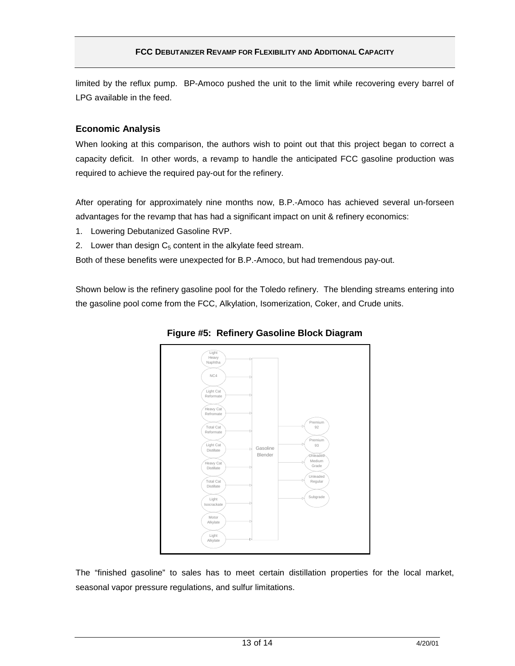limited by the reflux pump. BP-Amoco pushed the unit to the limit while recovering every barrel of LPG available in the feed.

### **Economic Analysis**

When looking at this comparison, the authors wish to point out that this project began to correct a capacity deficit. In other words, a revamp to handle the anticipated FCC gasoline production was required to achieve the required pay-out for the refinery.

After operating for approximately nine months now, B.P.-Amoco has achieved several un-forseen advantages for the revamp that has had a significant impact on unit & refinery economics:

- 1. Lowering Debutanized Gasoline RVP.
- 2. Lower than design  $C_5$  content in the alkylate feed stream.

Both of these benefits were unexpected for B.P.-Amoco, but had tremendous pay-out.

Shown below is the refinery gasoline pool for the Toledo refinery. The blending streams entering into the gasoline pool come from the FCC, Alkylation, Isomerization, Coker, and Crude units.



**Figure #5: Refinery Gasoline Block Diagram**

The "finished gasoline" to sales has to meet certain distillation properties for the local market, seasonal vapor pressure regulations, and sulfur limitations.